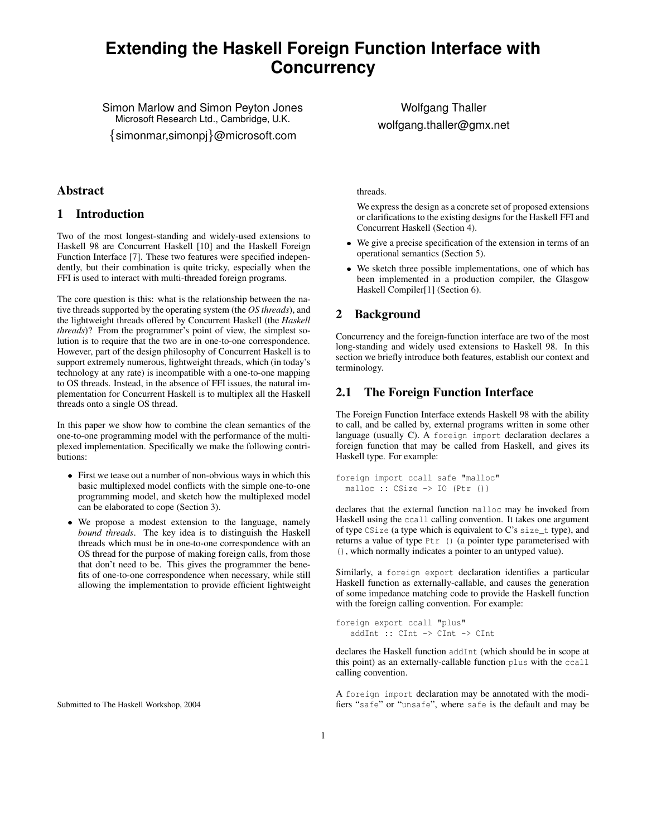# **Extending the Haskell Foreign Function Interface with Concurrency**

Simon Marlow and Simon Peyton Jones Microsoft Research Ltd., Cambridge, U.K.

 $\{$ simonmar,simonpj $\}$ @microsoft.com

# **Abstract**

## **1 Introduction**

Two of the most longest-standing and widely-used extensions to Haskell 98 are Concurrent Haskell [10] and the Haskell Foreign Function Interface [7]. These two features were specified independently, but their combination is quite tricky, especially when the FFI is used to interact with multi-threaded foreign programs.

The core question is this: what is the relationship between the native threads supported by the operating system (the *OS threads*), and the lightweight threads offered by Concurrent Haskell (the *Haskell threads*)? From the programmer's point of view, the simplest solution is to require that the two are in one-to-one correspondence. However, part of the design philosophy of Concurrent Haskell is to support extremely numerous, lightweight threads, which (in today's technology at any rate) is incompatible with a one-to-one mapping to OS threads. Instead, in the absence of FFI issues, the natural implementation for Concurrent Haskell is to multiplex all the Haskell threads onto a single OS thread.

In this paper we show how to combine the clean semantics of the one-to-one programming model with the performance of the multiplexed implementation. Specifically we make the following contributions:

- First we tease out a number of non-obvious ways in which this basic multiplexed model conflicts with the simple one-to-one programming model, and sketch how the multiplexed model can be elaborated to cope (Section 3).
- We propose a modest extension to the language, namely *bound threads*. The key idea is to distinguish the Haskell threads which must be in one-to-one correspondence with an OS thread for the purpose of making foreign calls, from those that don't need to be. This gives the programmer the benefits of one-to-one correspondence when necessary, while still allowing the implementation to provide efficient lightweight

Submitted to The Haskell Workshop, 2004

Wolfgang Thaller wolfgang.thaller@gmx.net

#### threads.

We express the design as a concrete set of proposed extensions or clarifications to the existing designs for the Haskell FFI and Concurrent Haskell (Section 4).

- We give a precise specification of the extension in terms of an operational semantics (Section 5).
- We sketch three possible implementations, one of which has been implemented in a production compiler, the Glasgow Haskell Compiler[1] (Section 6).

# **2 Background**

Concurrency and the foreign-function interface are two of the most long-standing and widely used extensions to Haskell 98. In this section we briefly introduce both features, establish our context and terminology.

# **2.1 The Foreign Function Interface**

The Foreign Function Interface extends Haskell 98 with the ability to call, and be called by, external programs written in some other language (usually C). A foreign import declaration declares a foreign function that may be called from Haskell, and gives its Haskell type. For example:

```
foreign import ccall safe "malloc"
 malloc :: CSize -> IO (Ptr ())
```
declares that the external function malloc may be invoked from Haskell using the ccall calling convention. It takes one argument of type CSize (a type which is equivalent to C's size\_t type), and returns a value of type Ptr () (a pointer type parameterised with (), which normally indicates a pointer to an untyped value).

Similarly, a foreign export declaration identifies a particular Haskell function as externally-callable, and causes the generation of some impedance matching code to provide the Haskell function with the foreign calling convention. For example:

```
foreign export ccall "plus"
  addInt :: CInt -> CInt -> CInt
```
declares the Haskell function addInt (which should be in scope at this point) as an externally-callable function plus with the ccall calling convention.

A foreign import declaration may be annotated with the modifiers "safe" or "unsafe", where safe is the default and may be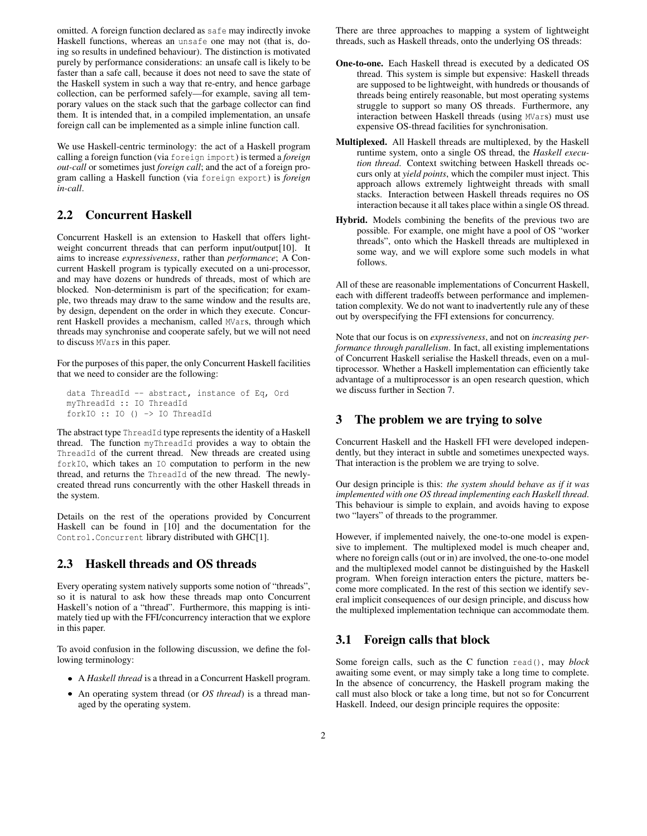omitted. A foreign function declared as safe may indirectly invoke Haskell functions, whereas an unsafe one may not (that is, doing so results in undefined behaviour). The distinction is motivated purely by performance considerations: an unsafe call is likely to be faster than a safe call, because it does not need to save the state of the Haskell system in such a way that re-entry, and hence garbage collection, can be performed safely—for example, saving all temporary values on the stack such that the garbage collector can find them. It is intended that, in a compiled implementation, an unsafe foreign call can be implemented as a simple inline function call.

We use Haskell-centric terminology: the act of a Haskell program calling a foreign function (via foreign import) is termed a *foreign out-call* or sometimes just *foreign call*; and the act of a foreign program calling a Haskell function (via foreign export) is *foreign in-call*.

# **2.2 Concurrent Haskell**

Concurrent Haskell is an extension to Haskell that offers lightweight concurrent threads that can perform input/output[10]. It aims to increase *expressiveness*, rather than *performance*; A Concurrent Haskell program is typically executed on a uni-processor, and may have dozens or hundreds of threads, most of which are blocked. Non-determinism is part of the specification; for example, two threads may draw to the same window and the results are, by design, dependent on the order in which they execute. Concurrent Haskell provides a mechanism, called MVars, through which threads may synchronise and cooperate safely, but we will not need to discuss MVars in this paper.

For the purposes of this paper, the only Concurrent Haskell facilities that we need to consider are the following:

```
data ThreadId -- abstract, instance of Eq, Ord
myThreadId :: IO ThreadId
forkIO :: IO () \rightarrow IO ThreadId
```
The abstract type ThreadId type represents the identity of a Haskell thread. The function myThreadId provides a way to obtain the ThreadId of the current thread. New threads are created using forkIO, which takes an IO computation to perform in the new thread, and returns the ThreadId of the new thread. The newlycreated thread runs concurrently with the other Haskell threads in the system.

Details on the rest of the operations provided by Concurrent Haskell can be found in [10] and the documentation for the Control.Concurrent library distributed with GHC[1].

## **2.3 Haskell threads and OS threads**

Every operating system natively supports some notion of "threads", so it is natural to ask how these threads map onto Concurrent Haskell's notion of a "thread". Furthermore, this mapping is intimately tied up with the FFI/concurrency interaction that we explore in this paper.

To avoid confusion in the following discussion, we define the following terminology:

- A *Haskell thread* is a thread in a Concurrent Haskell program. -
- An operating system thread (or *OS thread*) is a thread managed by the operating system.

There are three approaches to mapping a system of lightweight threads, such as Haskell threads, onto the underlying OS threads:

- **One-to-one.** Each Haskell thread is executed by a dedicated OS thread. This system is simple but expensive: Haskell threads are supposed to be lightweight, with hundreds or thousands of threads being entirely reasonable, but most operating systems struggle to support so many OS threads. Furthermore, any interaction between Haskell threads (using MVars) must use expensive OS-thread facilities for synchronisation.
- **Multiplexed.** All Haskell threads are multiplexed, by the Haskell runtime system, onto a single OS thread, the *Haskell execution thread*. Context switching between Haskell threads occurs only at *yield points*, which the compiler must inject. This approach allows extremely lightweight threads with small stacks. Interaction between Haskell threads requires no OS interaction because it all takes place within a single OS thread.
- **Hybrid.** Models combining the benefits of the previous two are possible. For example, one might have a pool of OS "worker threads", onto which the Haskell threads are multiplexed in some way, and we will explore some such models in what follows.

All of these are reasonable implementations of Concurrent Haskell, each with different tradeoffs between performance and implementation complexity. We do not want to inadvertently rule any of these out by overspecifying the FFI extensions for concurrency.

Note that our focus is on *expressiveness*, and not on *increasing performance through parallelism*. In fact, all existing implementations of Concurrent Haskell serialise the Haskell threads, even on a multiprocessor. Whether a Haskell implementation can efficiently take advantage of a multiprocessor is an open research question, which we discuss further in Section 7.

## **3 The problem we are trying to solve**

Concurrent Haskell and the Haskell FFI were developed independently, but they interact in subtle and sometimes unexpected ways. That interaction is the problem we are trying to solve.

Our design principle is this: *the system should behave as if it was implemented with one OS thread implementing each Haskell thread*. This behaviour is simple to explain, and avoids having to expose two "layers" of threads to the programmer.

However, if implemented naively, the one-to-one model is expensive to implement. The multiplexed model is much cheaper and, where no foreign calls (out or in) are involved, the one-to-one model and the multiplexed model cannot be distinguished by the Haskell program. When foreign interaction enters the picture, matters become more complicated. In the rest of this section we identify several implicit consequences of our design principle, and discuss how the multiplexed implementation technique can accommodate them.

## **3.1 Foreign calls that block**

Some foreign calls, such as the C function read(), may *block* awaiting some event, or may simply take a long time to complete. In the absence of concurrency, the Haskell program making the call must also block or take a long time, but not so for Concurrent Haskell. Indeed, our design principle requires the opposite: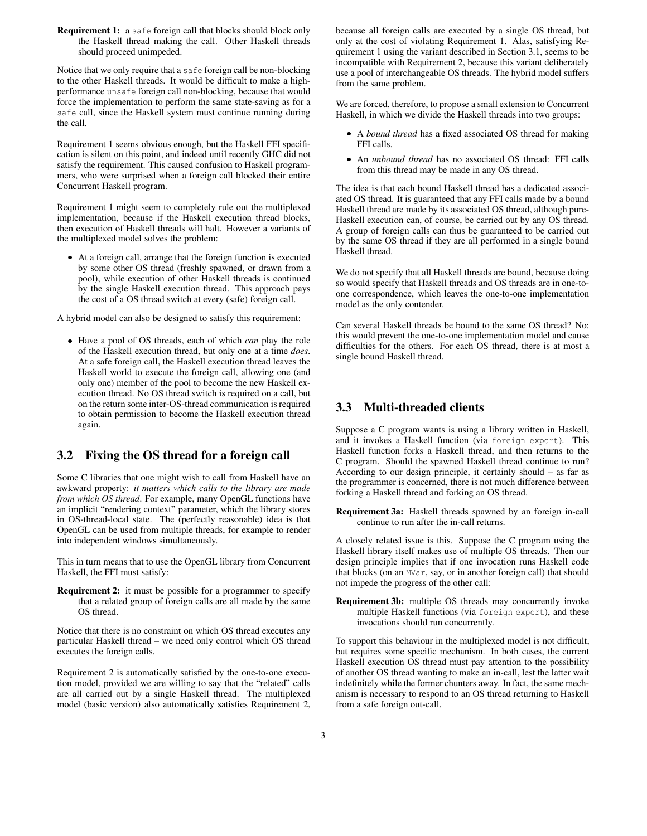**Requirement 1:** a safe foreign call that blocks should block only the Haskell thread making the call. Other Haskell threads should proceed unimpeded.

Notice that we only require that a safe foreign call be non-blocking to the other Haskell threads. It would be difficult to make a highperformance unsafe foreign call non-blocking, because that would force the implementation to perform the same state-saving as for a safe call, since the Haskell system must continue running during the call.

Requirement 1 seems obvious enough, but the Haskell FFI specification is silent on this point, and indeed until recently GHC did not satisfy the requirement. This caused confusion to Haskell programmers, who were surprised when a foreign call blocked their entire Concurrent Haskell program.

Requirement 1 might seem to completely rule out the multiplexed implementation, because if the Haskell execution thread blocks, then execution of Haskell threads will halt. However a variants of the -multiplexed model solves the problem:

At a foreign call, arrange that the foreign function is executed by some other OS thread (freshly spawned, or drawn from a pool), while execution of other Haskell threads is continued by the single Haskell execution thread. This approach pays the cost of a OS thread switch at every (safe) foreign call.

A hybrid model can also be designed to satisfy this requirement:

Have a pool of OS threads, each of which *can* play the role of the Haskell execution thread, but only one at a time *does*. At a safe foreign call, the Haskell execution thread leaves the Haskell world to execute the foreign call, allowing one (and only one) member of the pool to become the new Haskell execution thread. No OS thread switch is required on a call, but on the return some inter-OS-thread communication is required to obtain permission to become the Haskell execution thread again.

## **3.2 Fixing the OS thread for a foreign call**

Some C libraries that one might wish to call from Haskell have an awkward property: *it matters which calls to the library are made from which OS thread*. For example, many OpenGL functions have an implicit "rendering context" parameter, which the library stores in OS-thread-local state. The (perfectly reasonable) idea is that OpenGL can be used from multiple threads, for example to render into independent windows simultaneously.

This in turn means that to use the OpenGL library from Concurrent Haskell, the FFI must satisfy:

**Requirement 2:** it must be possible for a programmer to specify that a related group of foreign calls are all made by the same OS thread.

Notice that there is no constraint on which OS thread executes any particular Haskell thread – we need only control which OS thread executes the foreign calls.

Requirement 2 is automatically satisfied by the one-to-one execution model, provided we are willing to say that the "related" calls are all carried out by a single Haskell thread. The multiplexed model (basic version) also automatically satisfies Requirement 2, because all foreign calls are executed by a single OS thread, but only at the cost of violating Requirement 1. Alas, satisfying Requirement 1 using the variant described in Section 3.1, seems to be incompatible with Requirement 2, because this variant deliberately use a pool of interchangeable OS threads. The hybrid model suffers from the same problem.

We are forced, therefore, to propose a small extension to Concurrent Haskell, in which we divide the Haskell threads into two groups:

- A *bound thread* has a fixed associated OS thread for making FFI calls.
- An *unbound thread* has no associated OS thread: FFI calls from this thread may be made in any OS thread.

The idea is that each bound Haskell thread has a dedicated associated OS thread. It is guaranteed that any FFI calls made by a bound Haskell thread are made by its associated OS thread, although pure-Haskell execution can, of course, be carried out by any OS thread. A group of foreign calls can thus be guaranteed to be carried out by the same OS thread if they are all performed in a single bound Haskell thread.

We do not specify that all Haskell threads are bound, because doing so would specify that Haskell threads and OS threads are in one-toone correspondence, which leaves the one-to-one implementation model as the only contender.

Can several Haskell threads be bound to the same OS thread? No: this would prevent the one-to-one implementation model and cause difficulties for the others. For each OS thread, there is at most a single bound Haskell thread.

# **3.3 Multi-threaded clients**

Suppose a C program wants is using a library written in Haskell, and it invokes a Haskell function (via foreign export). This Haskell function forks a Haskell thread, and then returns to the C program. Should the spawned Haskell thread continue to run? According to our design principle, it certainly should – as far as the programmer is concerned, there is not much difference between forking a Haskell thread and forking an OS thread.

**Requirement 3a:** Haskell threads spawned by an foreign in-call continue to run after the in-call returns.

A closely related issue is this. Suppose the C program using the Haskell library itself makes use of multiple OS threads. Then our design principle implies that if one invocation runs Haskell code that blocks (on an MVar, say, or in another foreign call) that should not impede the progress of the other call:

**Requirement 3b:** multiple OS threads may concurrently invoke multiple Haskell functions (via foreign export), and these invocations should run concurrently.

To support this behaviour in the multiplexed model is not difficult, but requires some specific mechanism. In both cases, the current Haskell execution OS thread must pay attention to the possibility of another OS thread wanting to make an in-call, lest the latter wait indefinitely while the former chunters away. In fact, the same mechanism is necessary to respond to an OS thread returning to Haskell from a safe foreign out-call.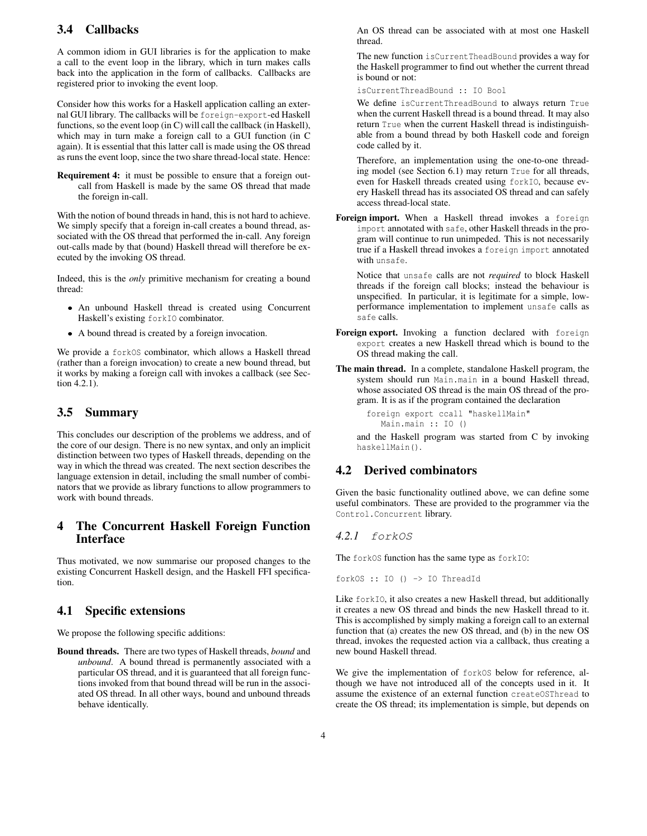# **3.4 Callbacks**

A common idiom in GUI libraries is for the application to make a call to the event loop in the library, which in turn makes calls back into the application in the form of callbacks. Callbacks are registered prior to invoking the event loop.

Consider how this works for a Haskell application calling an external GUI library. The callbacks will be foreign-export-ed Haskell functions, so the event loop (in C) will call the callback (in Haskell), which may in turn make a foreign call to a GUI function (in C again). It is essential that this latter call is made using the OS thread as runs the event loop, since the two share thread-local state. Hence:

**Requirement 4:** it must be possible to ensure that a foreign outcall from Haskell is made by the same OS thread that made the foreign in-call.

With the notion of bound threads in hand, this is not hard to achieve. We simply specify that a foreign in-call creates a bound thread, associated with the OS thread that performed the in-call. Any foreign out-calls made by that (bound) Haskell thread will therefore be executed by the invoking OS thread.

Indeed, this is the *only* primitive mechanism for creating a bound thread:

- An unbound Haskell thread is created using Concurrent Haskell's existing forkI0 combinator.
- A bound thread is created by a foreign invocation.

We provide a forkOS combinator, which allows a Haskell thread (rather than a foreign invocation) to create a new bound thread, but it works by making a foreign call with invokes a callback (see Section 4.2.1).

# **3.5 Summary**

This concludes our description of the problems we address, and of the core of our design. There is no new syntax, and only an implicit distinction between two types of Haskell threads, depending on the way in which the thread was created. The next section describes the language extension in detail, including the small number of combinators that we provide as library functions to allow programmers to work with bound threads.

## **4 The Concurrent Haskell Foreign Function Interface**

Thus motivated, we now summarise our proposed changes to the existing Concurrent Haskell design, and the Haskell FFI specification.

# **4.1 Specific extensions**

We propose the following specific additions:

**Bound threads.** There are two types of Haskell threads, *bound* and *unbound*. A bound thread is permanently associated with a particular OS thread, and it is guaranteed that all foreign functions invoked from that bound thread will be run in the associated OS thread. In all other ways, bound and unbound threads behave identically.

An OS thread can be associated with at most one Haskell thread.

The new function isCurrentTheadBound provides a way for the Haskell programmer to find out whether the current thread is bound or not:

isCurrentThreadBound :: IO Bool

We define isCurrentThreadBound to always return True when the current Haskell thread is a bound thread. It may also return True when the current Haskell thread is indistinguishable from a bound thread by both Haskell code and foreign code called by it.

Therefore, an implementation using the one-to-one threading model (see Section 6.1) may return True for all threads, even for Haskell threads created using forkIO, because every Haskell thread has its associated OS thread and can safely access thread-local state.

**Foreign import.** When a Haskell thread invokes a foreign import annotated with safe, other Haskell threads in the program will continue to run unimpeded. This is not necessarily true if a Haskell thread invokes a foreign import annotated with unsafe.

Notice that unsafe calls are not *required* to block Haskell threads if the foreign call blocks; instead the behaviour is unspecified. In particular, it is legitimate for a simple, lowperformance implementation to implement unsafe calls as safe calls.

- **Foreign export.** Invoking a function declared with foreign export creates a new Haskell thread which is bound to the OS thread making the call.
- **The main thread.** In a complete, standalone Haskell program, the system should run Main.main in a bound Haskell thread, whose associated OS thread is the main OS thread of the program. It is as if the program contained the declaration

foreign export ccall "haskellMain" Main.main :: IO ()

and the Haskell program was started from C by invoking haskellMain().

# **4.2 Derived combinators**

Given the basic functionality outlined above, we can define some useful combinators. These are provided to the programmer via the Control.Concurrent library.

#### *4.2.1* forkOS

The forkOS function has the same type as forkIO:

forkOS :: IO () -> IO ThreadId

Like forkIO, it also creates a new Haskell thread, but additionally it creates a new OS thread and binds the new Haskell thread to it. This is accomplished by simply making a foreign call to an external function that (a) creates the new OS thread, and (b) in the new OS thread, invokes the requested action via a callback, thus creating a new bound Haskell thread.

We give the implementation of forkOS below for reference, although we have not introduced all of the concepts used in it. It assume the existence of an external function createOSThread to create the OS thread; its implementation is simple, but depends on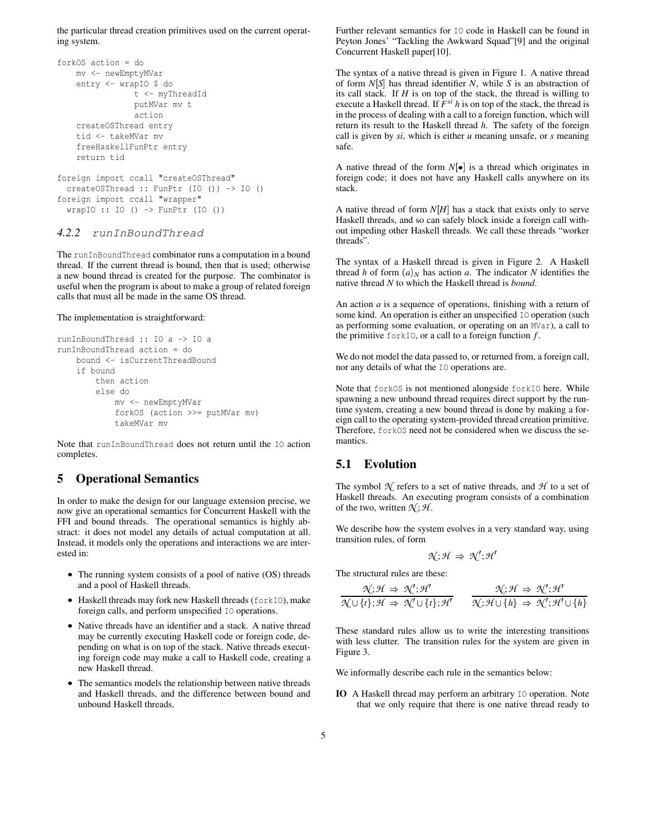the particular thread creation primitives used on the current operating system.

```
forkOS action = do
   mv <- newEmptyMVar
   entry <- wrapIO $ do
               t <- myThreadId
                putMVar mv t
                action
   createOSThread entry
   tid <- takeMVar mv
   freeHaskellFunPtr entry
   return tid
foreign import ccall "createOSThread"
 createOSThread :: FunPtr (IO ()) -> IO ()
foreign import ccall "wrapper"
 wrapIO :: IO () -> FunPtr (IO ())
```
#### *4.2.2* runInBoundThread

The runInBoundThread combinator runs a computation in a bound thread. If the current thread is bound, then that is used; otherwise a new bound thread is created for the purpose. The combinator is useful when the program is about to make a group of related foreign calls that must all be made in the same OS thread.

The implementation is straightforward:

```
runInBoundThread :: IO a -> IO a
runInBoundThread action = do
   bound <- isCurrentThreadBound
    if bound
        then action
        else do
            mv <- newEmptyMVar
            forkOS (action >>= putMVar mv)
            takeMVar mv
```
Note that runInBoundThread does not return until the IO action completes.

# **5 Operational Semantics**

In order to make the design for our language extension precise, we now give an operational semantics for Concurrent Haskell with the FFI and bound threads. The operational semantics is highly abstract: it does not model any details of actual computation at all. Instead, it models only the operations and interactions we are interested in:

- The running system consists of a pool of native (OS) threads and a pool of Haskell threads.
- Haskell threads may fork new Haskell threads (forkIO), make foreign calls, and perform unspecified  $I$  0 operations.
- Native threads have an identifier and a stack. A native thread may be currently executing Haskell code or foreign code, depending on what is on top of the stack. Native threads executing foreign code may make a call to Haskell code, creating a new Haskell thread.
- The semantics models the relationship between native threads and Haskell threads, and the difference between bound and unbound Haskell threads.

Further relevant semantics for IO code in Haskell can be found in Peyton Jones' "Tackling the Awkward Squad"[9] and the original Concurrent Haskell paper[10].

The syntax of a native thread is given in Figure 1. A native thread of form  $N[S]$  has thread identifier *N*, while *S* is an abstraction of its call stack. If *H* is on top of the stack, the thread is willing to execute a Haskell thread. If  $\overline{F}^{si}$  *h* is on top of the stack, the thread is in the process of dealing with a call to a foreign function, which will return its result to the Haskell thread *h*. The safety of the foreign call is given by *si*, which is either *u* meaning unsafe, or *s* meaning safe.

A native thread of the form  $N[\bullet]$  is a thread which originates in foreign code; it does not have any Haskell calls anywhere on its stack.

A native thread of form  $N[H]$  has a stack that exists only to serve Haskell threads, and so can safely block inside a foreign call without impeding other Haskell threads. We call these threads "worker threads".

The syntax of a Haskell thread is given in Figure 2. A Haskell thread *h* of form  $(a)_N$  has action *a*. The indicator *N* identifies the native thread *N* to which the Haskell thread is *bound*.

An action *a* is a sequence of operations, finishing with a return of some kind. An operation is either an unspecified  $I$  0 operation (such as performing some evaluation, or operating on an MVar), a call to the primitive forkIO, or a call to a foreign function *f* .

We do not model the data passed to, or returned from, a foreign call, nor any details of what the IO operations are.

Note that forkOS is not mentioned alongside forkIO here. While spawning a new unbound thread requires direct support by the runtime system, creating a new bound thread is done by making a foreign call to the operating system-provided thread creation primitive. Therefore, forkOS need not be considered when we discuss the semantics.

# **5.1 Evolution**

The symbol  $\mathcal{N}$  refers to a set of native threads, and  $\mathcal{H}$  to a set of Haskell threads. An executing program consists of a combination of the two, written  $\mathcal{N}$ ;  $\mathcal{H}$ .

We describe how the system evolves in a very standard way, using transition rules, of form

$$
\mathcal{N};\mathcal{H}\ \Rightarrow\ \mathcal{N}';\mathcal{H}'
$$

The structural rules are these:

$$
\frac{\mathcal{N}; \mathcal{H} \Rightarrow \mathcal{N}'; \mathcal{H}'}{\mathcal{N} \cup \{t\}; \mathcal{H} \Rightarrow \mathcal{N}' \cup \{t\}; \mathcal{H}'} \qquad \frac{\mathcal{N}; \mathcal{H} \Rightarrow \mathcal{N}'; \mathcal{H}'}{\mathcal{N}; \mathcal{H} \cup \{h\} \Rightarrow \mathcal{N}'; \mathcal{H}' \cup \{h\}}
$$

These standard rules allow us to write the interesting transitions with less clutter. The transition rules for the system are given in Figure 3.

We informally describe each rule in the semantics below:

**IO** A Haskell thread may perform an arbitrary IO operation. Note that we only require that there is one native thread ready to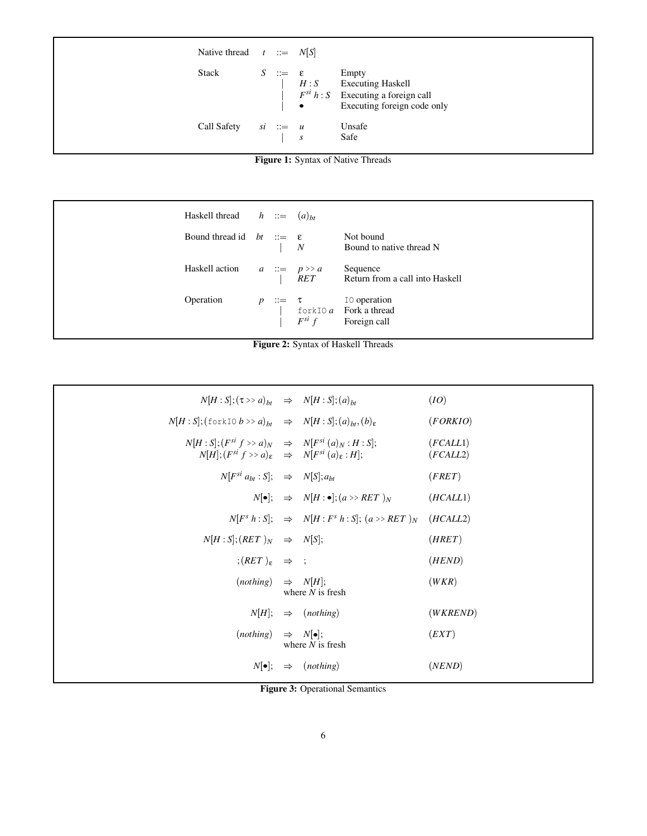| Native thread $t ::= N S $                                                  |  |                                                                                                                                            |
|-----------------------------------------------------------------------------|--|--------------------------------------------------------------------------------------------------------------------------------------------|
| Stack                                                                       |  | $S$ ::= $\varepsilon$ Empty<br>$\vert H : S$ Executing Haskell<br>$F^{si} h : S$ Executing a foreign call<br>• Executing foreign code only |
| Call Safety $si ::= u$<br>$\begin{array}{ccc} &   & x \\   & s \end{array}$ |  | Unsafe<br>Safe                                                                                                                             |



| Haskell thread $h ::= (a)_{bt}$      |  |                  |                                                                                                                             |
|--------------------------------------|--|------------------|-----------------------------------------------------------------------------------------------------------------------------|
| Bound thread id $bt ::= \varepsilon$ |  | $\mathbb{R}$ $N$ | Not bound<br>Bound to native thread N                                                                                       |
| Haskell action $a ::= p \gg a$       |  |                  | Sequence<br><i>RET</i> Return from a call into Haskell                                                                      |
| Operation                            |  |                  | $p ::= \tau$ IO operation<br>$\begin{array}{ccc} 1 & \text{for } k \in \mathbb{Z} \\   & F^{si} f \end{array}$ Foreign call |

|  |  | Figure 2: Syntax of Haskell Threads |  |
|--|--|-------------------------------------|--|
|--|--|-------------------------------------|--|

| $N[H:S]; (\tau \rightarrow a)_{bt} \Rightarrow N[H:S]; (a)_{bt}$                                                                                               |                                                                      | (IO)                |
|----------------------------------------------------------------------------------------------------------------------------------------------------------------|----------------------------------------------------------------------|---------------------|
| $N[H:S];$ (fork IO $b \gg a$ ) <sub>bt</sub> $\Rightarrow N[H:S];$ $(a)_{bt}$ , $(b)_{\varepsilon}$                                                            |                                                                      | (FORKIO)            |
| $N[H:S]; (F^{si} f \rangle > a)_N \Rightarrow N[F^{si} (a)_N : H : S];$<br>$N[H]; (F^{si} f \gg a)_{\varepsilon} \Rightarrow N[F^{si} (a)_{\varepsilon} : H];$ |                                                                      | (FCAL1)<br>(FCALL2) |
| $N[F^{si} a_{bt} : S]; \Rightarrow N[S]; a_{bt}$                                                                                                               |                                                                      | (FRET)              |
|                                                                                                                                                                | $N[\bullet]; \Rightarrow N[H:\bullet]; (a \rightarrow RET)_{N}$      | (HCALL1)            |
|                                                                                                                                                                | $N[Fs h : S]; \Rightarrow N[H : Fs h : S]; (a \gg RET)$ <sub>N</sub> | (HCALL2)            |
| $N[H:S]; (RET)_N \Rightarrow N[S];$                                                                                                                            |                                                                      | (HRET)              |
| $;(RET)_\varepsilon \Rightarrow ;$                                                                                                                             |                                                                      | (HEND)              |
| $(nothing) \Rightarrow N[H];$                                                                                                                                  | where $N$ is fresh                                                   | (WKR)               |
|                                                                                                                                                                | $N[H]; \Rightarrow (nothing)$                                        | (WKREND)            |
| $(nothing) \Rightarrow N\bullet$ ;                                                                                                                             | where $N$ is fresh                                                   | (EXT)               |
|                                                                                                                                                                | $N[\bullet]; \Rightarrow (nothing)$                                  | (NEND)              |

**Figure 3:** Operational Semantics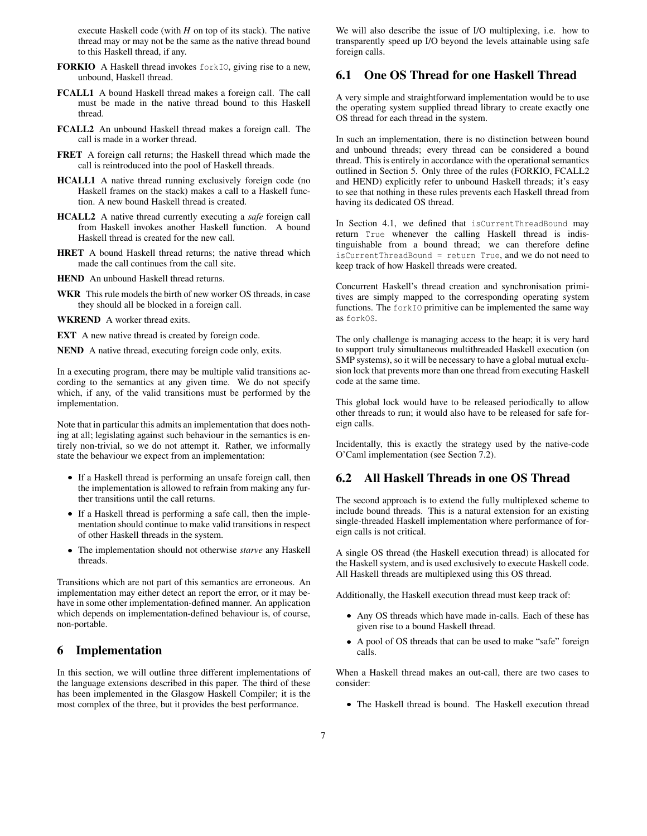execute Haskell code (with *H* on top of its stack). The native thread may or may not be the same as the native thread bound to this Haskell thread, if any.

- **FORKIO** A Haskell thread invokes forkIO, giving rise to a new, unbound, Haskell thread.
- **FCALL1** A bound Haskell thread makes a foreign call. The call must be made in the native thread bound to this Haskell thread.
- **FCALL2** An unbound Haskell thread makes a foreign call. The call is made in a worker thread.
- **FRET** A foreign call returns; the Haskell thread which made the call is reintroduced into the pool of Haskell threads.
- **HCALL1** A native thread running exclusively foreign code (no Haskell frames on the stack) makes a call to a Haskell function. A new bound Haskell thread is created.
- **HCALL2** A native thread currently executing a *safe* foreign call from Haskell invokes another Haskell function. A bound Haskell thread is created for the new call.
- **HRET** A bound Haskell thread returns; the native thread which made the call continues from the call site.
- **HEND** An unbound Haskell thread returns.
- **WKR** This rule models the birth of new worker OS threads, in case they should all be blocked in a foreign call.
- **WKREND** A worker thread exits.

**EXT** A new native thread is created by foreign code.

**NEND** A native thread, executing foreign code only, exits.

In a executing program, there may be multiple valid transitions according to the semantics at any given time. We do not specify which, if any, of the valid transitions must be performed by the implementation.

Note that in particular this admits an implementation that does nothing at all; legislating against such behaviour in the semantics is entirely non-trivial, so we do not attempt it. Rather, we informally state the behaviour we expect from an implementation:

- If a Haskell thread is performing an unsafe foreign call, then the implementation is allowed to refrain from making any further transitions until the call returns.
- If a Haskell thread is performing a safe call, then the implementation should continue to make valid transitions in respect of other Haskell threads in the system.
- The implementation should not otherwise *starve* any Haskell threads.

Transitions which are not part of this semantics are erroneous. An implementation may either detect an report the error, or it may behave in some other implementation-defined manner. An application which depends on implementation-defined behaviour is, of course, non-portable.

# **6 Implementation**

In this section, we will outline three different implementations of the language extensions described in this paper. The third of these has been implemented in the Glasgow Haskell Compiler; it is the most complex of the three, but it provides the best performance.

We will also describe the issue of I/O multiplexing, i.e. how to transparently speed up I/O beyond the levels attainable using safe foreign calls.

# **6.1 One OS Thread for one Haskell Thread**

A very simple and straightforward implementation would be to use the operating system supplied thread library to create exactly one OS thread for each thread in the system.

In such an implementation, there is no distinction between bound and unbound threads; every thread can be considered a bound thread. This is entirely in accordance with the operational semantics outlined in Section 5. Only three of the rules (FORKIO, FCALL2 and HEND) explicitly refer to unbound Haskell threads; it's easy to see that nothing in these rules prevents each Haskell thread from having its dedicated OS thread.

In Section 4.1, we defined that isCurrentThreadBound may return True whenever the calling Haskell thread is indistinguishable from a bound thread; we can therefore define isCurrentThreadBound = return True, and we do not need to keep track of how Haskell threads were created.

Concurrent Haskell's thread creation and synchronisation primitives are simply mapped to the corresponding operating system functions. The forkIO primitive can be implemented the same way as forkOS.

The only challenge is managing access to the heap; it is very hard to support truly simultaneous multithreaded Haskell execution (on SMP systems), so it will be necessary to have a global mutual exclusion lock that prevents more than one thread from executing Haskell code at the same time.

This global lock would have to be released periodically to allow other threads to run; it would also have to be released for safe foreign calls.

Incidentally, this is exactly the strategy used by the native-code O'Caml implementation (see Section 7.2).

# **6.2 All Haskell Threads in one OS Thread**

The second approach is to extend the fully multiplexed scheme to include bound threads. This is a natural extension for an existing single-threaded Haskell implementation where performance of foreign calls is not critical.

A single OS thread (the Haskell execution thread) is allocated for the Haskell system, and is used exclusively to execute Haskell code. All Haskell threads are multiplexed using this OS thread.

Additionally, the Haskell execution thread must keep track of:

- Any OS threads which have made in-calls. Each of these has given rise to a bound Haskell thread.
- A pool of OS threads that can be used to make "safe" foreign calls.

When a Haskell thread makes an out-call, there are two cases to consider:

The Haskell thread is bound. The Haskell execution thread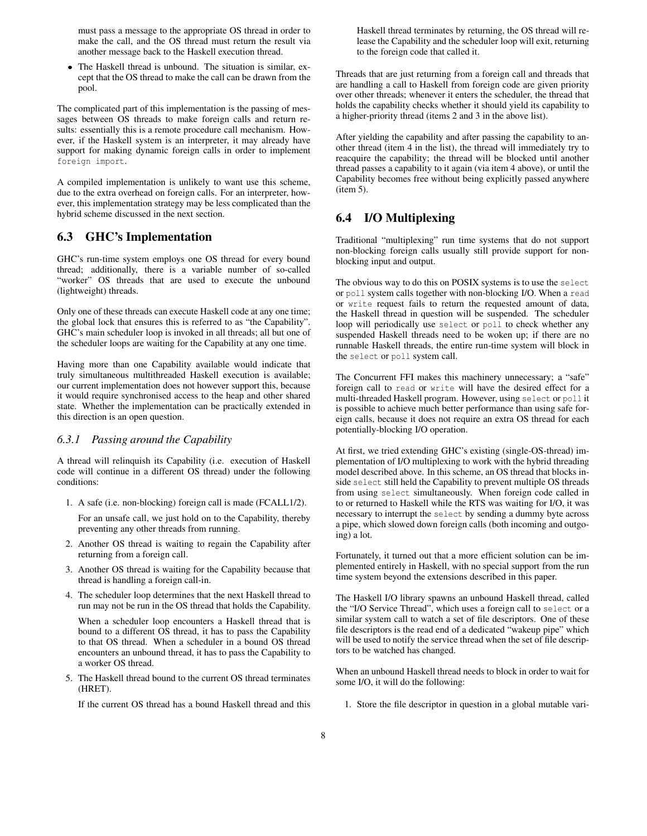must pass a message to the appropriate OS thread in order to make the call, and the OS thread must return the result via another message back to the Haskell execution thread.

The Haskell thread is unbound. The situation is similar, except that the OS thread to make the call can be drawn from the pool.

The complicated part of this implementation is the passing of messages between OS threads to make foreign calls and return results: essentially this is a remote procedure call mechanism. However, if the Haskell system is an interpreter, it may already have support for making dynamic foreign calls in order to implement foreign import.

A compiled implementation is unlikely to want use this scheme, due to the extra overhead on foreign calls. For an interpreter, however, this implementation strategy may be less complicated than the hybrid scheme discussed in the next section.

# **6.3 GHC's Implementation**

GHC's run-time system employs one OS thread for every bound thread; additionally, there is a variable number of so-called "worker" OS threads that are used to execute the unbound (lightweight) threads.

Only one of these threads can execute Haskell code at any one time; the global lock that ensures this is referred to as "the Capability". GHC's main scheduler loop is invoked in all threads; all but one of the scheduler loops are waiting for the Capability at any one time.

Having more than one Capability available would indicate that truly simultaneous multithreaded Haskell execution is available; our current implementation does not however support this, because it would require synchronised access to the heap and other shared state. Whether the implementation can be practically extended in this direction is an open question.

#### *6.3.1 Passing around the Capability*

A thread will relinquish its Capability (i.e. execution of Haskell code will continue in a different OS thread) under the following conditions:

1. A safe (i.e. non-blocking) foreign call is made (FCALL1/2).

For an unsafe call, we just hold on to the Capability, thereby preventing any other threads from running.

- 2. Another OS thread is waiting to regain the Capability after returning from a foreign call.
- 3. Another OS thread is waiting for the Capability because that thread is handling a foreign call-in.
- 4. The scheduler loop determines that the next Haskell thread to run may not be run in the OS thread that holds the Capability.

When a scheduler loop encounters a Haskell thread that is bound to a different OS thread, it has to pass the Capability to that OS thread. When a scheduler in a bound OS thread encounters an unbound thread, it has to pass the Capability to a worker OS thread.

5. The Haskell thread bound to the current OS thread terminates (HRET).

If the current OS thread has a bound Haskell thread and this

Haskell thread terminates by returning, the OS thread will release the Capability and the scheduler loop will exit, returning to the foreign code that called it.

Threads that are just returning from a foreign call and threads that are handling a call to Haskell from foreign code are given priority over other threads; whenever it enters the scheduler, the thread that holds the capability checks whether it should yield its capability to a higher-priority thread (items 2 and 3 in the above list).

After yielding the capability and after passing the capability to another thread (item 4 in the list), the thread will immediately try to reacquire the capability; the thread will be blocked until another thread passes a capability to it again (via item 4 above), or until the Capability becomes free without being explicitly passed anywhere (item 5).

## **6.4 I/O Multiplexing**

Traditional "multiplexing" run time systems that do not support non-blocking foreign calls usually still provide support for nonblocking input and output.

The obvious way to do this on POSIX systems is to use the select or poll system calls together with non-blocking I/O. When a read or write request fails to return the requested amount of data, the Haskell thread in question will be suspended. The scheduler loop will periodically use select or poll to check whether any suspended Haskell threads need to be woken up; if there are no runnable Haskell threads, the entire run-time system will block in the select or poll system call.

The Concurrent FFI makes this machinery unnecessary; a "safe" foreign call to read or write will have the desired effect for a multi-threaded Haskell program. However, using select or poll it is possible to achieve much better performance than using safe foreign calls, because it does not require an extra OS thread for each potentially-blocking I/O operation.

At first, we tried extending GHC's existing (single-OS-thread) implementation of I/O multiplexing to work with the hybrid threading model described above. In this scheme, an OS thread that blocks inside select still held the Capability to prevent multiple OS threads from using select simultaneously. When foreign code called in to or returned to Haskell while the RTS was waiting for I/O, it was necessary to interrupt the select by sending a dummy byte across a pipe, which slowed down foreign calls (both incoming and outgoing) a lot.

Fortunately, it turned out that a more efficient solution can be implemented entirely in Haskell, with no special support from the run time system beyond the extensions described in this paper.

The Haskell I/O library spawns an unbound Haskell thread, called the "I/O Service Thread", which uses a foreign call to select or a similar system call to watch a set of file descriptors. One of these file descriptors is the read end of a dedicated "wakeup pipe" which will be used to notify the service thread when the set of file descriptors to be watched has changed.

When an unbound Haskell thread needs to block in order to wait for some I/O, it will do the following:

1. Store the file descriptor in question in a global mutable vari-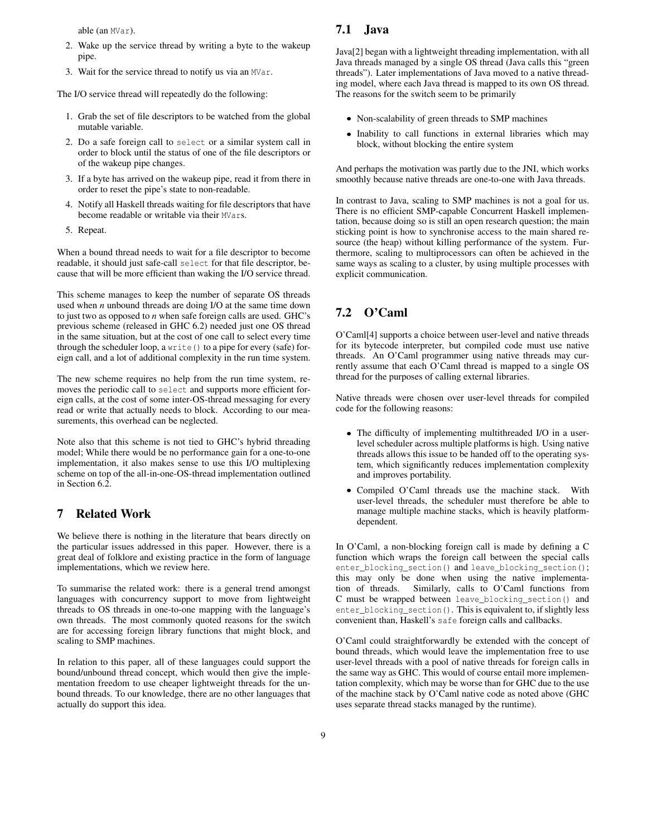able (an MVar).

- 2. Wake up the service thread by writing a byte to the wakeup pipe.
- 3. Wait for the service thread to notify us via an MVar.

The I/O service thread will repeatedly do the following:

- 1. Grab the set of file descriptors to be watched from the global mutable variable.
- 2. Do a safe foreign call to select or a similar system call in order to block until the status of one of the file descriptors or of the wakeup pipe changes.
- 3. If a byte has arrived on the wakeup pipe, read it from there in order to reset the pipe's state to non-readable.
- 4. Notify all Haskell threads waiting for file descriptors that have become readable or writable via their MVars.
- 5. Repeat.

When a bound thread needs to wait for a file descriptor to become readable, it should just safe-call select for that file descriptor, because that will be more efficient than waking the I/O service thread.

This scheme manages to keep the number of separate OS threads used when *n* unbound threads are doing I/O at the same time down to just two as opposed to *n* when safe foreign calls are used. GHC's previous scheme (released in GHC 6.2) needed just one OS thread in the same situation, but at the cost of one call to select every time through the scheduler loop, a write () to a pipe for every (safe) foreign call, and a lot of additional complexity in the run time system.

The new scheme requires no help from the run time system, removes the periodic call to select and supports more efficient foreign calls, at the cost of some inter-OS-thread messaging for every read or write that actually needs to block. According to our measurements, this overhead can be neglected.

Note also that this scheme is not tied to GHC's hybrid threading model; While there would be no performance gain for a one-to-one implementation, it also makes sense to use this I/O multiplexing scheme on top of the all-in-one-OS-thread implementation outlined in Section 6.2.

# **7 Related Work**

We believe there is nothing in the literature that bears directly on the particular issues addressed in this paper. However, there is a great deal of folklore and existing practice in the form of language implementations, which we review here.

To summarise the related work: there is a general trend amongst languages with concurrency support to move from lightweight threads to OS threads in one-to-one mapping with the language's own threads. The most commonly quoted reasons for the switch are for accessing foreign library functions that might block, and scaling to SMP machines.

In relation to this paper, all of these languages could support the bound/unbound thread concept, which would then give the implementation freedom to use cheaper lightweight threads for the unbound threads. To our knowledge, there are no other languages that actually do support this idea.

# **7.1 Java**

Java[2] began with a lightweight threading implementation, with all Java threads managed by a single OS thread (Java calls this "green threads"). Later implementations of Java moved to a native threading model, where each Java thread is mapped to its own OS thread. The reasons for the switch seem to be primarily

- Non-scalability of green threads to SMP machines
- Inability to call functions in external libraries which may block, without blocking the entire system

And perhaps the motivation was partly due to the JNI, which works smoothly because native threads are one-to-one with Java threads.

In contrast to Java, scaling to SMP machines is not a goal for us. There is no efficient SMP-capable Concurrent Haskell implementation, because doing so is still an open research question; the main sticking point is how to synchronise access to the main shared resource (the heap) without killing performance of the system. Furthermore, scaling to multiprocessors can often be achieved in the same ways as scaling to a cluster, by using multiple processes with explicit communication.

# **7.2 O'Caml**

O'Caml[4] supports a choice between user-level and native threads for its bytecode interpreter, but compiled code must use native threads. An O'Caml programmer using native threads may currently assume that each O'Caml thread is mapped to a single OS thread for the purposes of calling external libraries.

Native threads were chosen over user-level threads for compiled code for the following reasons:

- The difficulty of implementing multithreaded I/O in a userlevel scheduler across multiple platforms is high. Using native threads allows this issue to be handed off to the operating system, which significantly reduces implementation complexity and improves portability.
- Compiled O'Caml threads use the machine stack. With user-level threads, the scheduler must therefore be able to manage multiple machine stacks, which is heavily platformdependent.

In O'Caml, a non-blocking foreign call is made by defining a C function which wraps the foreign call between the special calls enter\_blocking\_section() and leave\_blocking\_section(); this may only be done when using the native implementation of threads. Similarly, calls to O'Caml functions from C must be wrapped between leave\_blocking\_section() and enter\_blocking\_section(). This is equivalent to, if slightly less convenient than, Haskell's safe foreign calls and callbacks.

O'Caml could straightforwardly be extended with the concept of bound threads, which would leave the implementation free to use user-level threads with a pool of native threads for foreign calls in the same way as GHC. This would of course entail more implementation complexity, which may be worse than for GHC due to the use of the machine stack by O'Caml native code as noted above (GHC uses separate thread stacks managed by the runtime).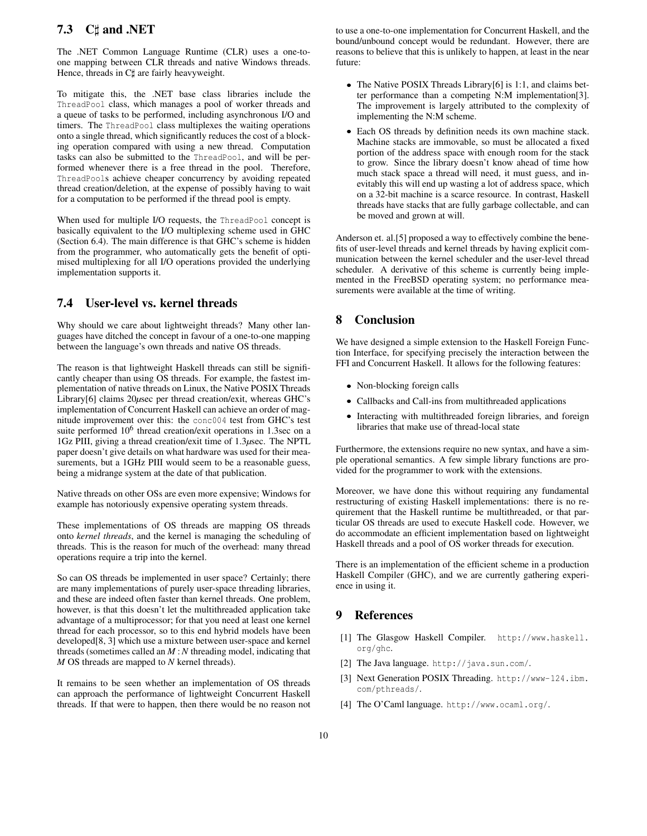# **7.3 C and .NET**

The .NET Common Language Runtime (CLR) uses a one-toone mapping between CLR threads and native Windows threads. Hence, threads in  $C_{\parallel}$  are fairly heavyweight.

To mitigate this, the .NET base class libraries include the ThreadPool class, which manages a pool of worker threads and a queue of tasks to be performed, including asynchronous I/O and timers. The ThreadPool class multiplexes the waiting operations onto a single thread, which significantly reduces the cost of a blocking operation compared with using a new thread. Computation tasks can also be submitted to the ThreadPool, and will be performed whenever there is a free thread in the pool. Therefore, ThreadPools achieve cheaper concurrency by avoiding repeated thread creation/deletion, at the expense of possibly having to wait for a computation to be performed if the thread pool is empty.

When used for multiple I/O requests, the ThreadPool concept is basically equivalent to the I/O multiplexing scheme used in GHC (Section 6.4). The main difference is that GHC's scheme is hidden from the programmer, who automatically gets the benefit of optimised multiplexing for all I/O operations provided the underlying implementation supports it.

# **7.4 User-level vs. kernel threads**

Why should we care about lightweight threads? Many other languages have ditched the concept in favour of a one-to-one mapping between the language's own threads and native OS threads.

The reason is that lightweight Haskell threads can still be significantly cheaper than using OS threads. For example, the fastest implementation of native threads on Linux, the Native POSIX Threads Library[6] claims 20*µsec per thread creation/exit, whereas GHC's* implementation of Concurrent Haskell can achieve an order of magnitude improvement over this: the conc004 test from GHC's test suite performed 10<sup>6</sup> thread creation/exit operations in 1.3sec on a 1Gz PIII, giving a thread creation/exit time of 1.3*µ*sec. The NPTL paper doesn't give details on what hardware was used for their measurements, but a 1GHz PIII would seem to be a reasonable guess, being a midrange system at the date of that publication.

Native threads on other OSs are even more expensive; Windows for example has notoriously expensive operating system threads.

These implementations of OS threads are mapping OS threads onto *kernel threads*, and the kernel is managing the scheduling of threads. This is the reason for much of the overhead: many thread operations require a trip into the kernel.

So can OS threads be implemented in user space? Certainly; there are many implementations of purely user-space threading libraries, and these are indeed often faster than kernel threads. One problem, however, is that this doesn't let the multithreaded application take advantage of a multiprocessor; for that you need at least one kernel thread for each processor, so to this end hybrid models have been developed[8, 3] which use a mixture between user-space and kernel threads (sometimes called an *M* : *N* threading model, indicating that *M* OS threads are mapped to *N* kernel threads).

It remains to be seen whether an implementation of OS threads can approach the performance of lightweight Concurrent Haskell threads. If that were to happen, then there would be no reason not to use a one-to-one implementation for Concurrent Haskell, and the bound/unbound concept would be redundant. However, there are reasons to believe that this is unlikely to happen, at least in the near future:

- The Native POSIX Threads Library[6] is 1:1, and claims better performance than a competing N:M implementation[3]. The improvement is largely attributed to the complexity of implementing the N:M scheme.
- Each OS threads by definition needs its own machine stack. Machine stacks are immovable, so must be allocated a fixed portion of the address space with enough room for the stack to grow. Since the library doesn't know ahead of time how much stack space a thread will need, it must guess, and inevitably this will end up wasting a lot of address space, which on a 32-bit machine is a scarce resource. In contrast, Haskell threads have stacks that are fully garbage collectable, and can be moved and grown at will.

Anderson et. al.[5] proposed a way to effectively combine the benefits of user-level threads and kernel threads by having explicit communication between the kernel scheduler and the user-level thread scheduler. A derivative of this scheme is currently being implemented in the FreeBSD operating system; no performance measurements were available at the time of writing.

## **8 Conclusion**

We have designed a simple extension to the Haskell Foreign Function Interface, for specifying precisely the interaction between the FFI and Concurrent Haskell. It allows for the following features:

- Non-blocking foreign calls
- Callbacks and Call-ins from multithreaded applications
- Interacting with multithreaded foreign libraries, and foreign libraries that make use of thread-local state

Furthermore, the extensions require no new syntax, and have a simple operational semantics. A few simple library functions are provided for the programmer to work with the extensions.

Moreover, we have done this without requiring any fundamental restructuring of existing Haskell implementations: there is no requirement that the Haskell runtime be multithreaded, or that particular OS threads are used to execute Haskell code. However, we do accommodate an efficient implementation based on lightweight Haskell threads and a pool of OS worker threads for execution.

There is an implementation of the efficient scheme in a production Haskell Compiler (GHC), and we are currently gathering experience in using it.

## **9 References**

- [1] The Glasgow Haskell Compiler. http://www.haskell. org/ghc.
- [2] The Java language. http://java.sun.com/.
- [3] Next Generation POSIX Threading. http://www-124.ibm. com/pthreads/.
- [4] The O'Caml language. http://www.ocaml.org/.